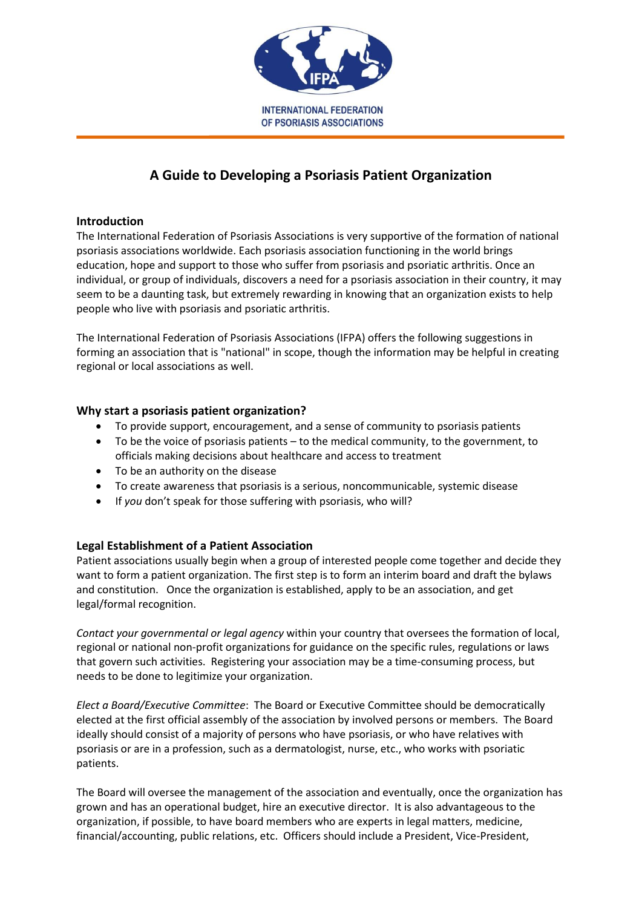

# **A Guide to Developing a Psoriasis Patient Organization**

## **Introduction**

The International Federation of Psoriasis Associations is very supportive of the formation of national psoriasis associations worldwide. Each psoriasis association functioning in the world brings education, hope and support to those who suffer from psoriasis and psoriatic arthritis. Once an individual, or group of individuals, discovers a need for a psoriasis association in their country, it may seem to be a daunting task, but extremely rewarding in knowing that an organization exists to help people who live with psoriasis and psoriatic arthritis.

The International Federation of Psoriasis Associations (IFPA) offers the following suggestions in forming an association that is "national" in scope, though the information may be helpful in creating regional or local associations as well.

## **Why start a psoriasis patient organization?**

- To provide support, encouragement, and a sense of community to psoriasis patients
- To be the voice of psoriasis patients to the medical community, to the government, to officials making decisions about healthcare and access to treatment
- To be an authority on the disease
- To create awareness that psoriasis is a serious, noncommunicable, systemic disease
- If *you* don't speak for those suffering with psoriasis, who will?

## **Legal Establishment of a Patient Association**

Patient associations usually begin when a group of interested people come together and decide they want to form a patient organization. The first step is to form an interim board and draft the bylaws and constitution. Once the organization is established, apply to be an association, and get legal/formal recognition.

*Contact your governmental or legal agency* within your country that oversees the formation of local, regional or national non-profit organizations for guidance on the specific rules, regulations or laws that govern such activities. Registering your association may be a time-consuming process, but needs to be done to legitimize your organization.

*Elect a Board/Executive Committee*: The Board or Executive Committee should be democratically elected at the first official assembly of the association by involved persons or members. The Board ideally should consist of a majority of persons who have psoriasis, or who have relatives with psoriasis or are in a profession, such as a dermatologist, nurse, etc., who works with psoriatic patients.

The Board will oversee the management of the association and eventually, once the organization has grown and has an operational budget, hire an executive director. It is also advantageous to the organization, if possible, to have board members who are experts in legal matters, medicine, financial/accounting, public relations, etc. Officers should include a President, Vice-President,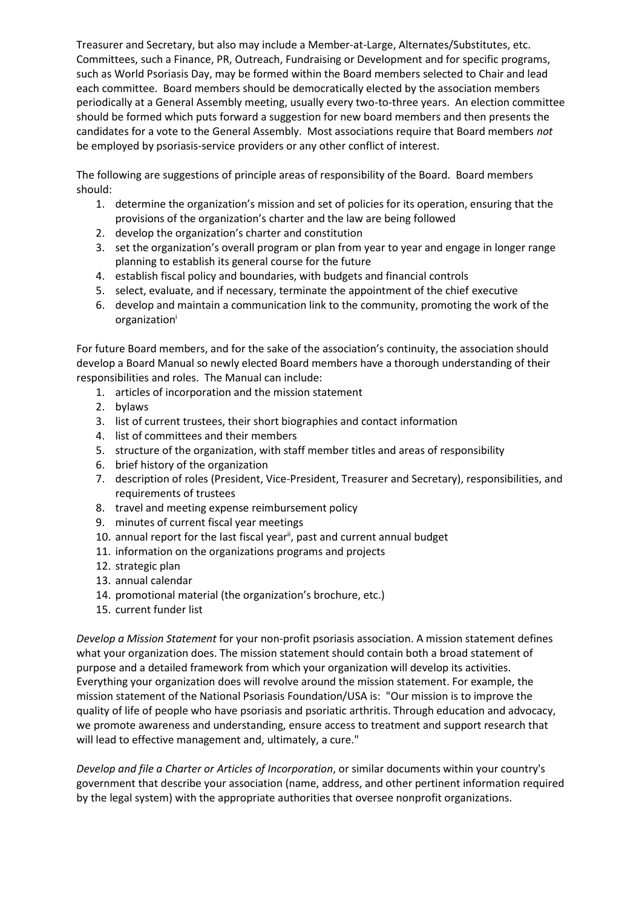Treasurer and Secretary, but also may include a Member-at-Large, Alternates/Substitutes, etc. Committees, such a Finance, PR, Outreach, Fundraising or Development and for specific programs, such as World Psoriasis Day, may be formed within the Board members selected to Chair and lead each committee. Board members should be democratically elected by the association members periodically at a General Assembly meeting, usually every two-to-three years. An election committee should be formed which puts forward a suggestion for new board members and then presents the candidates for a vote to the General Assembly. Most associations require that Board members *not* be employed by psoriasis-service providers or any other conflict of interest.

The following are suggestions of principle areas of responsibility of the Board. Board members should:

- 1. determine the organization's mission and set of policies for its operation, ensuring that the provisions of the organization's charter and the law are being followed
- 2. develop the organization's charter and constitution
- 3. set the organization's overall program or plan from year to year and engage in longer range planning to establish its general course for the future
- 4. establish fiscal policy and boundaries, with budgets and financial controls
- 5. select, evaluate, and if necessary, terminate the appointment of the chief executive
- 6. develop and maintain a communication link to the community, promoting the work of the organization<sup>i</sup>

For future Board members, and for the sake of the association's continuity, the association should develop a Board Manual so newly elected Board members have a thorough understanding of their responsibilities and roles. The Manual can include:

- 1. articles of incorporation and the mission statement
- 2. bylaws
- 3. list of current trustees, their short biographies and contact information
- 4. list of committees and their members
- 5. structure of the organization, with staff member titles and areas of responsibility
- 6. brief history of the organization
- 7. description of roles (President, Vice-President, Treasurer and Secretary), responsibilities, and requirements of trustees
- 8. travel and meeting expense reimbursement policy
- 9. minutes of current fiscal year meetings
- 10. annual report for the last fiscal year<sup>ii</sup>, past and current annual budget
- 11. information on the organizations programs and projects
- 12. strategic plan
- 13. annual calendar
- 14. promotional material (the organization's brochure, etc.)
- 15. current funder list

*Develop a Mission Statement* for your non-profit psoriasis association. A mission statement defines what your organization does. The mission statement should contain both a broad statement of purpose and a detailed framework from which your organization will develop its activities. Everything your organization does will revolve around the mission statement. For example, the mission statement of the National Psoriasis Foundation/USA is: "Our mission is to improve the quality of life of people who have psoriasis and psoriatic arthritis. Through education and advocacy, we promote awareness and understanding, ensure access to treatment and support research that will lead to effective management and, ultimately, a cure."

*Develop and file a Charter or Articles of Incorporation*, or similar documents within your country's government that describe your association (name, address, and other pertinent information required by the legal system) with the appropriate authorities that oversee nonprofit organizations.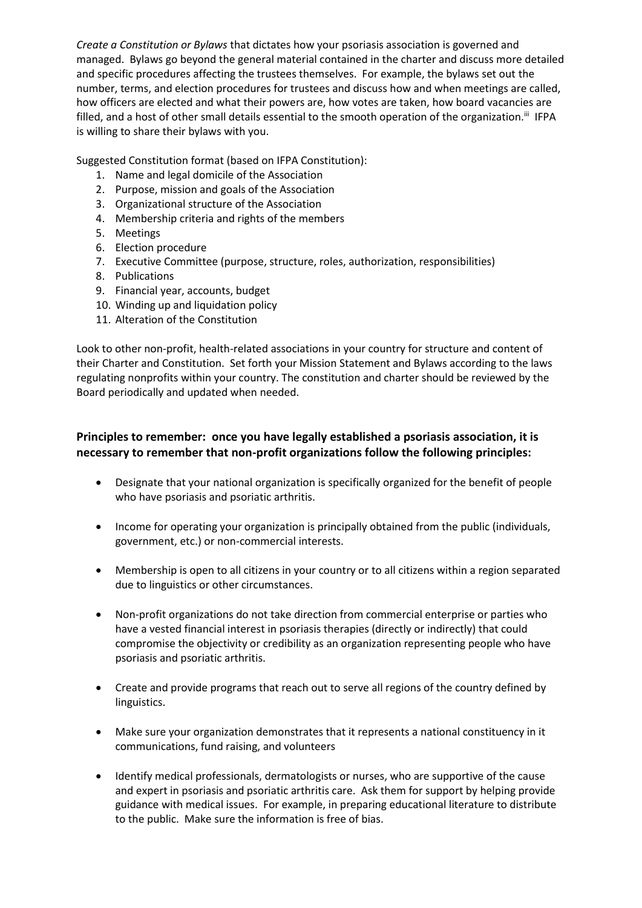*Create a Constitution or Bylaws* that dictates how your psoriasis association is governed and managed. Bylaws go beyond the general material contained in the charter and discuss more detailed and specific procedures affecting the trustees themselves. For example, the bylaws set out the number, terms, and election procedures for trustees and discuss how and when meetings are called, how officers are elected and what their powers are, how votes are taken, how board vacancies are filled, and a host of other small details essential to the smooth operation of the organization.<sup>iii</sup> IFPA is willing to share their bylaws with you.

Suggested Constitution format (based on IFPA Constitution):

- 1. Name and legal domicile of the Association
- 2. Purpose, mission and goals of the Association
- 3. Organizational structure of the Association
- 4. Membership criteria and rights of the members
- 5. Meetings
- 6. Election procedure
- 7. Executive Committee (purpose, structure, roles, authorization, responsibilities)
- 8. Publications
- 9. Financial year, accounts, budget
- 10. Winding up and liquidation policy
- 11. Alteration of the Constitution

Look to other non-profit, health-related associations in your country for structure and content of their Charter and Constitution. Set forth your Mission Statement and Bylaws according to the laws regulating nonprofits within your country. The constitution and charter should be reviewed by the Board periodically and updated when needed.

## **Principles to remember: once you have legally established a psoriasis association, it is necessary to remember that non-profit organizations follow the following principles:**

- Designate that your national organization is specifically organized for the benefit of people who have psoriasis and psoriatic arthritis.
- Income for operating your organization is principally obtained from the public (individuals, government, etc.) or non-commercial interests.
- Membership is open to all citizens in your country or to all citizens within a region separated due to linguistics or other circumstances.
- Non-profit organizations do not take direction from commercial enterprise or parties who have a vested financial interest in psoriasis therapies (directly or indirectly) that could compromise the objectivity or credibility as an organization representing people who have psoriasis and psoriatic arthritis.
- Create and provide programs that reach out to serve all regions of the country defined by linguistics.
- Make sure your organization demonstrates that it represents a national constituency in it communications, fund raising, and volunteers
- Identify medical professionals, dermatologists or nurses, who are supportive of the cause and expert in psoriasis and psoriatic arthritis care. Ask them for support by helping provide guidance with medical issues. For example, in preparing educational literature to distribute to the public. Make sure the information is free of bias.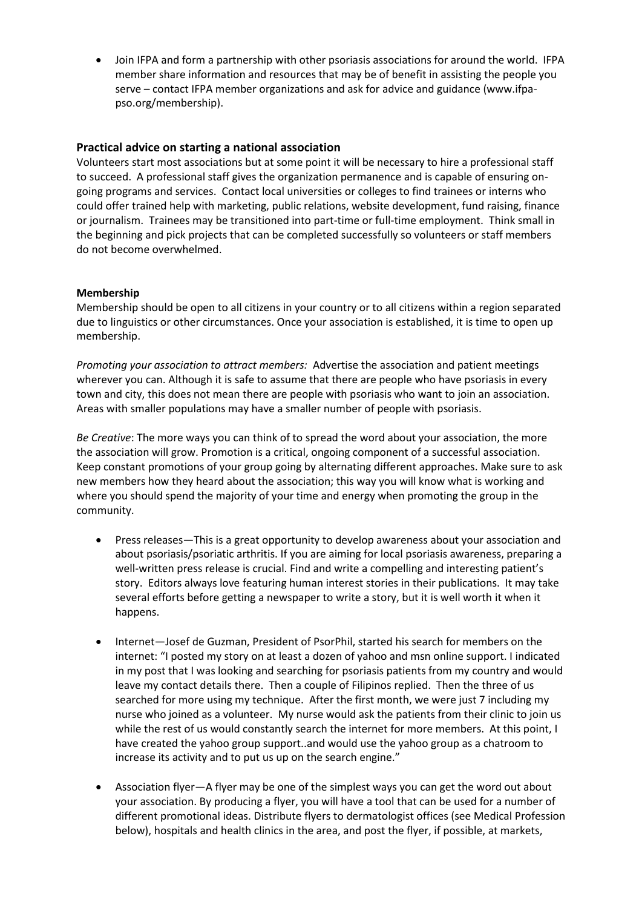Join IFPA and form a partnership with other psoriasis associations for around the world. IFPA member share information and resources that may be of benefit in assisting the people you serve – contact IFPA member organizations and ask for advice and guidance (www.ifpapso.org/membership).

## **Practical advice on starting a national association**

Volunteers start most associations but at some point it will be necessary to hire a professional staff to succeed. A professional staff gives the organization permanence and is capable of ensuring ongoing programs and services. Contact local universities or colleges to find trainees or interns who could offer trained help with marketing, public relations, website development, fund raising, finance or journalism. Trainees may be transitioned into part-time or full-time employment. Think small in the beginning and pick projects that can be completed successfully so volunteers or staff members do not become overwhelmed.

## **Membership**

Membership should be open to all citizens in your country or to all citizens within a region separated due to linguistics or other circumstances. Once your association is established, it is time to open up membership.

*Promoting your association to attract members:* Advertise the association and patient meetings wherever you can. Although it is safe to assume that there are people who have psoriasis in every town and city, this does not mean there are people with psoriasis who want to join an association. Areas with smaller populations may have a smaller number of people with psoriasis.

*Be Creative*: The more ways you can think of to spread the word about your association, the more the association will grow. Promotion is a critical, ongoing component of a successful association. Keep constant promotions of your group going by alternating different approaches. Make sure to ask new members how they heard about the association; this way you will know what is working and where you should spend the majority of your time and energy when promoting the group in the community.

- Press releases—This is a great opportunity to develop awareness about your association and about psoriasis/psoriatic arthritis. If you are aiming for local psoriasis awareness, preparing a well-written press release is crucial. Find and write a compelling and interesting patient's story. Editors always love featuring human interest stories in their publications. It may take several efforts before getting a newspaper to write a story, but it is well worth it when it happens.
- Internet—Josef de Guzman, President of PsorPhil, started his search for members on the internet: "I posted my story on at least a dozen of yahoo and msn online support. I indicated in my post that I was looking and searching for psoriasis patients from my country and would leave my contact details there. Then a couple of Filipinos replied. Then the three of us searched for more using my technique. After the first month, we were just 7 including my nurse who joined as a volunteer. My nurse would ask the patients from their clinic to join us while the rest of us would constantly search the internet for more members. At this point, I have created the yahoo group support..and would use the yahoo group as a chatroom to increase its activity and to put us up on the search engine."
- Association flyer—A flyer may be one of the simplest ways you can get the word out about your association. By producing a flyer, you will have a tool that can be used for a number of different promotional ideas. Distribute flyers to dermatologist offices (see Medical Profession below), hospitals and health clinics in the area, and post the flyer, if possible, at markets,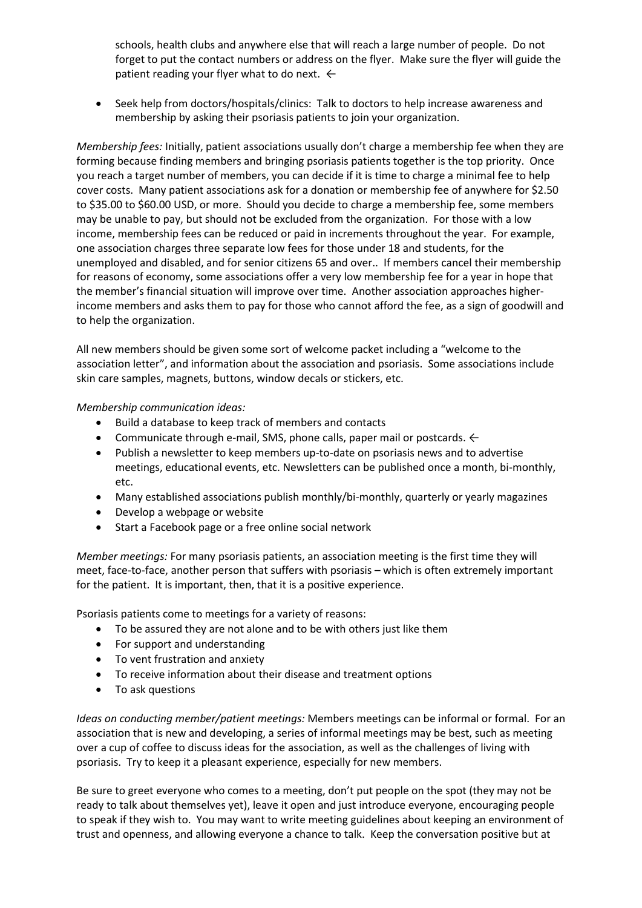schools, health clubs and anywhere else that will reach a large number of people. Do not forget to put the contact numbers or address on the flyer. Make sure the flyer will guide the patient reading your flyer what to do next.  $\leftarrow$ 

 Seek help from doctors/hospitals/clinics: Talk to doctors to help increase awareness and membership by asking their psoriasis patients to join your organization.

*Membership fees:* Initially, patient associations usually don't charge a membership fee when they are forming because finding members and bringing psoriasis patients together is the top priority. Once you reach a target number of members, you can decide if it is time to charge a minimal fee to help cover costs. Many patient associations ask for a donation or membership fee of anywhere for \$2.50 to \$35.00 to \$60.00 USD, or more. Should you decide to charge a membership fee, some members may be unable to pay, but should not be excluded from the organization. For those with a low income, membership fees can be reduced or paid in increments throughout the year. For example, one association charges three separate low fees for those under 18 and students, for the unemployed and disabled, and for senior citizens 65 and over.. If members cancel their membership for reasons of economy, some associations offer a very low membership fee for a year in hope that the member's financial situation will improve over time. Another association approaches higherincome members and asks them to pay for those who cannot afford the fee, as a sign of goodwill and to help the organization.

All new members should be given some sort of welcome packet including a "welcome to the association letter", and information about the association and psoriasis. Some associations include skin care samples, magnets, buttons, window decals or stickers, etc.

#### *Membership communication ideas:*

- Build a database to keep track of members and contacts
- Communicate through e-mail, SMS, phone calls, paper mail or postcards.  $\leftarrow$
- Publish a newsletter to keep members up-to-date on psoriasis news and to advertise meetings, educational events, etc. Newsletters can be published once a month, bi-monthly, etc.
- Many established associations publish monthly/bi-monthly, quarterly or yearly magazines
- Develop a webpage or website
- Start a Facebook page or a free online social network

*Member meetings:* For many psoriasis patients, an association meeting is the first time they will meet, face-to-face, another person that suffers with psoriasis – which is often extremely important for the patient. It is important, then, that it is a positive experience.

Psoriasis patients come to meetings for a variety of reasons:

- To be assured they are not alone and to be with others just like them
- For support and understanding
- To vent frustration and anxiety
- To receive information about their disease and treatment options
- To ask questions

*Ideas on conducting member/patient meetings:* Members meetings can be informal or formal. For an association that is new and developing, a series of informal meetings may be best, such as meeting over a cup of coffee to discuss ideas for the association, as well as the challenges of living with psoriasis. Try to keep it a pleasant experience, especially for new members.

Be sure to greet everyone who comes to a meeting, don't put people on the spot (they may not be ready to talk about themselves yet), leave it open and just introduce everyone, encouraging people to speak if they wish to. You may want to write meeting guidelines about keeping an environment of trust and openness, and allowing everyone a chance to talk. Keep the conversation positive but at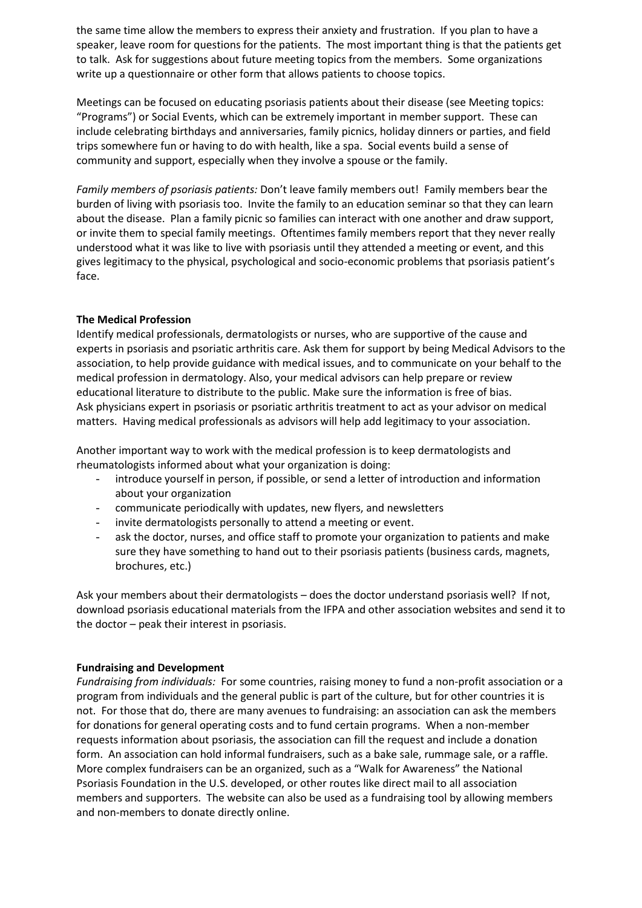the same time allow the members to express their anxiety and frustration. If you plan to have a speaker, leave room for questions for the patients. The most important thing is that the patients get to talk. Ask for suggestions about future meeting topics from the members. Some organizations write up a questionnaire or other form that allows patients to choose topics.

Meetings can be focused on educating psoriasis patients about their disease (see Meeting topics: "Programs") or Social Events, which can be extremely important in member support. These can include celebrating birthdays and anniversaries, family picnics, holiday dinners or parties, and field trips somewhere fun or having to do with health, like a spa. Social events build a sense of community and support, especially when they involve a spouse or the family.

*Family members of psoriasis patients:* Don't leave family members out! Family members bear the burden of living with psoriasis too. Invite the family to an education seminar so that they can learn about the disease. Plan a family picnic so families can interact with one another and draw support, or invite them to special family meetings. Oftentimes family members report that they never really understood what it was like to live with psoriasis until they attended a meeting or event, and this gives legitimacy to the physical, psychological and socio-economic problems that psoriasis patient's face.

#### **The Medical Profession**

Identify medical professionals, dermatologists or nurses, who are supportive of the cause and experts in psoriasis and psoriatic arthritis care. Ask them for support by being Medical Advisors to the association, to help provide guidance with medical issues, and to communicate on your behalf to the medical profession in dermatology. Also, your medical advisors can help prepare or review educational literature to distribute to the public. Make sure the information is free of bias. Ask physicians expert in psoriasis or psoriatic arthritis treatment to act as your advisor on medical matters. Having medical professionals as advisors will help add legitimacy to your association.

Another important way to work with the medical profession is to keep dermatologists and rheumatologists informed about what your organization is doing:

- introduce yourself in person, if possible, or send a letter of introduction and information about your organization
- communicate periodically with updates, new flyers, and newsletters
- invite dermatologists personally to attend a meeting or event.
- ask the doctor, nurses, and office staff to promote your organization to patients and make sure they have something to hand out to their psoriasis patients (business cards, magnets, brochures, etc.)

Ask your members about their dermatologists – does the doctor understand psoriasis well? If not, download psoriasis educational materials from the IFPA and other association websites and send it to the doctor – peak their interest in psoriasis.

#### **Fundraising and Development**

*Fundraising from individuals:* For some countries, raising money to fund a non-profit association or a program from individuals and the general public is part of the culture, but for other countries it is not. For those that do, there are many avenues to fundraising: an association can ask the members for donations for general operating costs and to fund certain programs. When a non-member requests information about psoriasis, the association can fill the request and include a donation form. An association can hold informal fundraisers, such as a bake sale, rummage sale, or a raffle. More complex fundraisers can be an organized, such as a "Walk for Awareness" the National Psoriasis Foundation in the U.S. developed, or other routes like direct mail to all association members and supporters. The website can also be used as a fundraising tool by allowing members and non-members to donate directly online.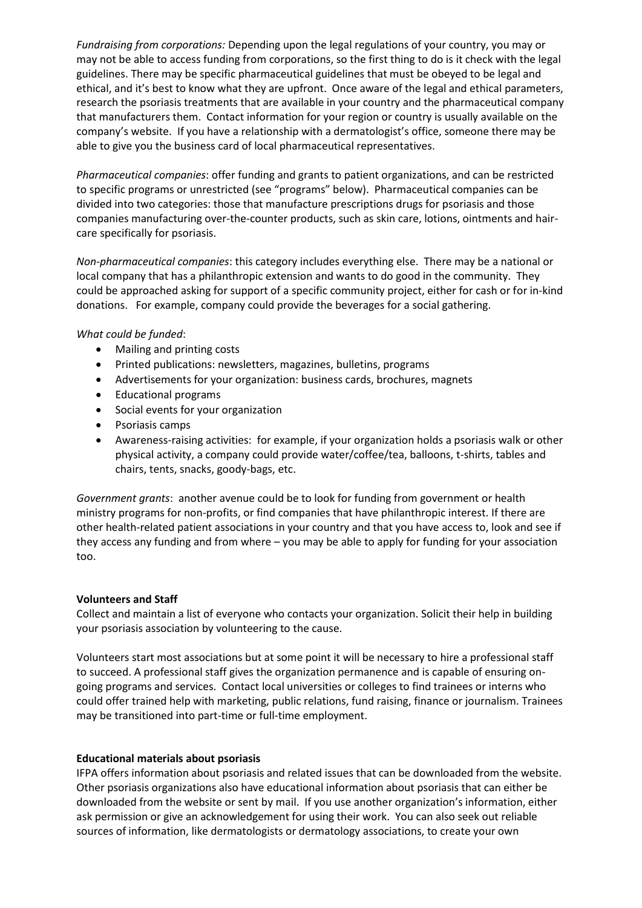*Fundraising from corporations:* Depending upon the legal regulations of your country, you may or may not be able to access funding from corporations, so the first thing to do is it check with the legal guidelines. There may be specific pharmaceutical guidelines that must be obeyed to be legal and ethical, and it's best to know what they are upfront. Once aware of the legal and ethical parameters, research the psoriasis treatments that are available in your country and the pharmaceutical company that manufacturers them. Contact information for your region or country is usually available on the company's website. If you have a relationship with a dermatologist's office, someone there may be able to give you the business card of local pharmaceutical representatives.

*Pharmaceutical companies*: offer funding and grants to patient organizations, and can be restricted to specific programs or unrestricted (see "programs" below). Pharmaceutical companies can be divided into two categories: those that manufacture prescriptions drugs for psoriasis and those companies manufacturing over-the-counter products, such as skin care, lotions, ointments and haircare specifically for psoriasis.

*Non-pharmaceutical companies*: this category includes everything else. There may be a national or local company that has a philanthropic extension and wants to do good in the community. They could be approached asking for support of a specific community project, either for cash or for in-kind donations. For example, company could provide the beverages for a social gathering.

#### *What could be funded*:

- Mailing and printing costs
- Printed publications: newsletters, magazines, bulletins, programs
- Advertisements for your organization: business cards, brochures, magnets
- Educational programs
- Social events for your organization
- Psoriasis camps
- Awareness-raising activities: for example, if your organization holds a psoriasis walk or other physical activity, a company could provide water/coffee/tea, balloons, t-shirts, tables and chairs, tents, snacks, goody-bags, etc.

*Government grants*: another avenue could be to look for funding from government or health ministry programs for non-profits, or find companies that have philanthropic interest. If there are other health-related patient associations in your country and that you have access to, look and see if they access any funding and from where – you may be able to apply for funding for your association too.

#### **Volunteers and Staff**

Collect and maintain a list of everyone who contacts your organization. Solicit their help in building your psoriasis association by volunteering to the cause.

Volunteers start most associations but at some point it will be necessary to hire a professional staff to succeed. A professional staff gives the organization permanence and is capable of ensuring ongoing programs and services. Contact local universities or colleges to find trainees or interns who could offer trained help with marketing, public relations, fund raising, finance or journalism. Trainees may be transitioned into part-time or full-time employment.

#### **Educational materials about psoriasis**

IFPA offers information about psoriasis and related issues that can be downloaded from the website. Other psoriasis organizations also have educational information about psoriasis that can either be downloaded from the website or sent by mail. If you use another organization's information, either ask permission or give an acknowledgement for using their work. You can also seek out reliable sources of information, like dermatologists or dermatology associations, to create your own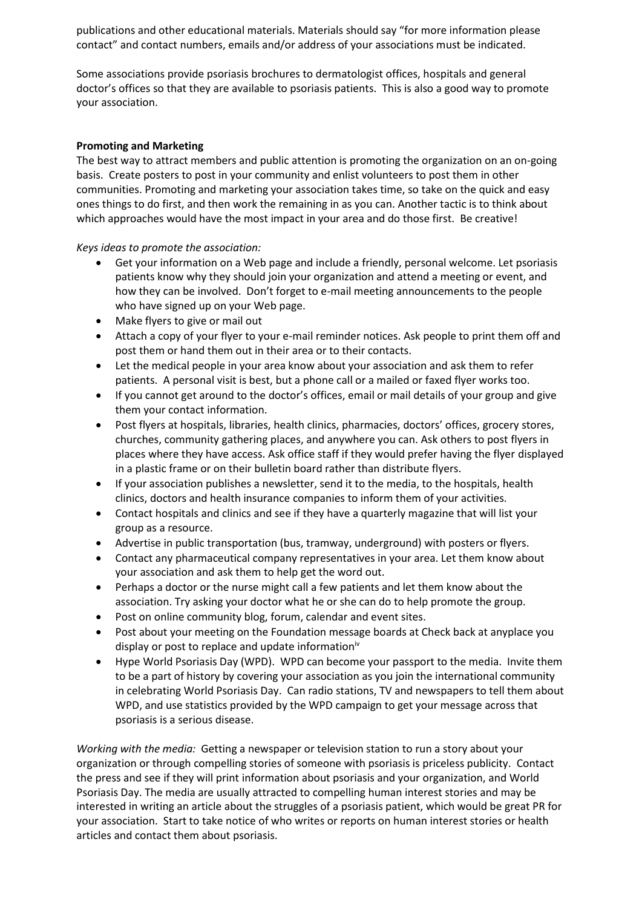publications and other educational materials. Materials should say "for more information please contact" and contact numbers, emails and/or address of your associations must be indicated.

Some associations provide psoriasis brochures to dermatologist offices, hospitals and general doctor's offices so that they are available to psoriasis patients. This is also a good way to promote your association.

## **Promoting and Marketing**

The best way to attract members and public attention is promoting the organization on an on-going basis. Create posters to post in your community and enlist volunteers to post them in other communities. Promoting and marketing your association takes time, so take on the quick and easy ones things to do first, and then work the remaining in as you can. Another tactic is to think about which approaches would have the most impact in your area and do those first. Be creative!

*Keys ideas to promote the association:*

- Get your information on a Web page and include a friendly, personal welcome. Let psoriasis patients know why they should join your organization and attend a meeting or event, and how they can be involved. Don't forget to e-mail meeting announcements to the people who have signed up on your Web page.
- Make flyers to give or mail out
- Attach a copy of your flyer to your e-mail reminder notices. Ask people to print them off and post them or hand them out in their area or to their contacts.
- Let the medical people in your area know about your association and ask them to refer patients. A personal visit is best, but a phone call or a mailed or faxed flyer works too.
- If you cannot get around to the doctor's offices, email or mail details of your group and give them your contact information.
- Post flyers at hospitals, libraries, health clinics, pharmacies, doctors' offices, grocery stores, churches, community gathering places, and anywhere you can. Ask others to post flyers in places where they have access. Ask office staff if they would prefer having the flyer displayed in a plastic frame or on their bulletin board rather than distribute flyers.
- If your association publishes a newsletter, send it to the media, to the hospitals, health clinics, doctors and health insurance companies to inform them of your activities.
- Contact hospitals and clinics and see if they have a quarterly magazine that will list your group as a resource.
- Advertise in public transportation (bus, tramway, underground) with posters or flyers.
- Contact any pharmaceutical company representatives in your area. Let them know about your association and ask them to help get the word out.
- Perhaps a doctor or the nurse might call a few patients and let them know about the association. Try asking your doctor what he or she can do to help promote the group.
- Post on online community blog, forum, calendar and event sites.
- Post about your meeting on the Foundation message boards at Check back at anyplace you display or post to replace and update information<sup>iv</sup>
- Hype World Psoriasis Day (WPD). WPD can become your passport to the media. Invite them to be a part of history by covering your association as you join the international community in celebrating World Psoriasis Day. Can radio stations, TV and newspapers to tell them about WPD, and use statistics provided by the WPD campaign to get your message across that psoriasis is a serious disease.

*Working with the media:* Getting a newspaper or television station to run a story about your organization or through compelling stories of someone with psoriasis is priceless publicity. Contact the press and see if they will print information about psoriasis and your organization, and World Psoriasis Day. The media are usually attracted to compelling human interest stories and may be interested in writing an article about the struggles of a psoriasis patient, which would be great PR for your association. Start to take notice of who writes or reports on human interest stories or health articles and contact them about psoriasis.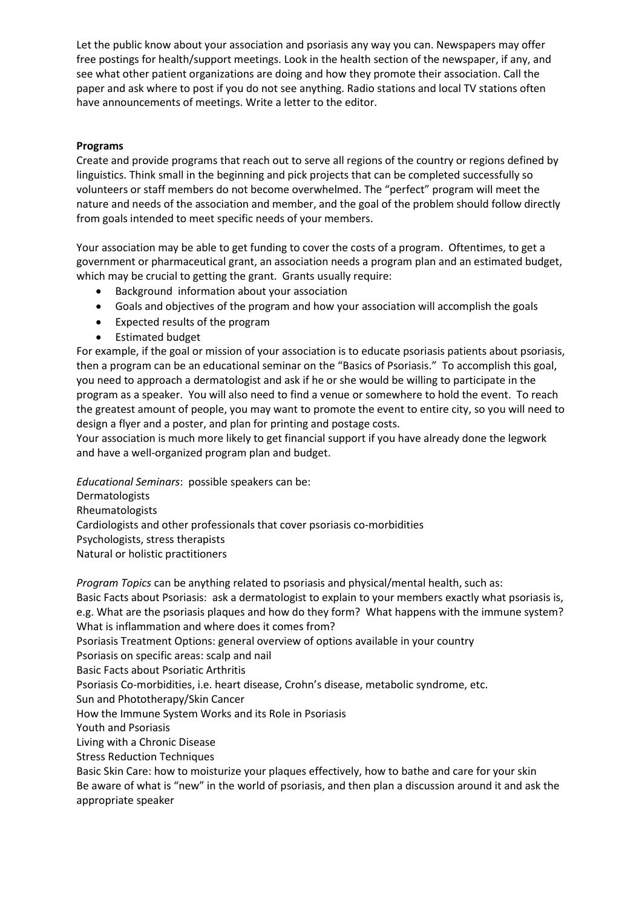Let the public know about your association and psoriasis any way you can. Newspapers may offer free postings for health/support meetings. Look in the health section of the newspaper, if any, and see what other patient organizations are doing and how they promote their association. Call the paper and ask where to post if you do not see anything. Radio stations and local TV stations often have announcements of meetings. Write a letter to the editor.

## **Programs**

Create and provide programs that reach out to serve all regions of the country or regions defined by linguistics. Think small in the beginning and pick projects that can be completed successfully so volunteers or staff members do not become overwhelmed. The "perfect" program will meet the nature and needs of the association and member, and the goal of the problem should follow directly from goals intended to meet specific needs of your members.

Your association may be able to get funding to cover the costs of a program. Oftentimes, to get a government or pharmaceutical grant, an association needs a program plan and an estimated budget, which may be crucial to getting the grant. Grants usually require:

- Background information about your association
- Goals and objectives of the program and how your association will accomplish the goals
- Expected results of the program
- Estimated budget

For example, if the goal or mission of your association is to educate psoriasis patients about psoriasis, then a program can be an educational seminar on the "Basics of Psoriasis." To accomplish this goal, you need to approach a dermatologist and ask if he or she would be willing to participate in the program as a speaker. You will also need to find a venue or somewhere to hold the event. To reach the greatest amount of people, you may want to promote the event to entire city, so you will need to design a flyer and a poster, and plan for printing and postage costs.

Your association is much more likely to get financial support if you have already done the legwork and have a well-organized program plan and budget.

*Educational Seminars*: possible speakers can be: **Dermatologists** Rheumatologists Cardiologists and other professionals that cover psoriasis co-morbidities Psychologists, stress therapists Natural or holistic practitioners

*Program Topics* can be anything related to psoriasis and physical/mental health, such as: Basic Facts about Psoriasis: ask a dermatologist to explain to your members exactly what psoriasis is, e.g. What are the psoriasis plaques and how do they form? What happens with the immune system? What is inflammation and where does it comes from? Psoriasis Treatment Options: general overview of options available in your country Psoriasis on specific areas: scalp and nail Basic Facts about Psoriatic Arthritis Psoriasis Co-morbidities, i.e. heart disease, Crohn's disease, metabolic syndrome, etc. Sun and Phototherapy/Skin Cancer How the Immune System Works and its Role in Psoriasis Youth and Psoriasis Living with a Chronic Disease Stress Reduction Techniques Basic Skin Care: how to moisturize your plaques effectively, how to bathe and care for your skin

Be aware of what is "new" in the world of psoriasis, and then plan a discussion around it and ask the appropriate speaker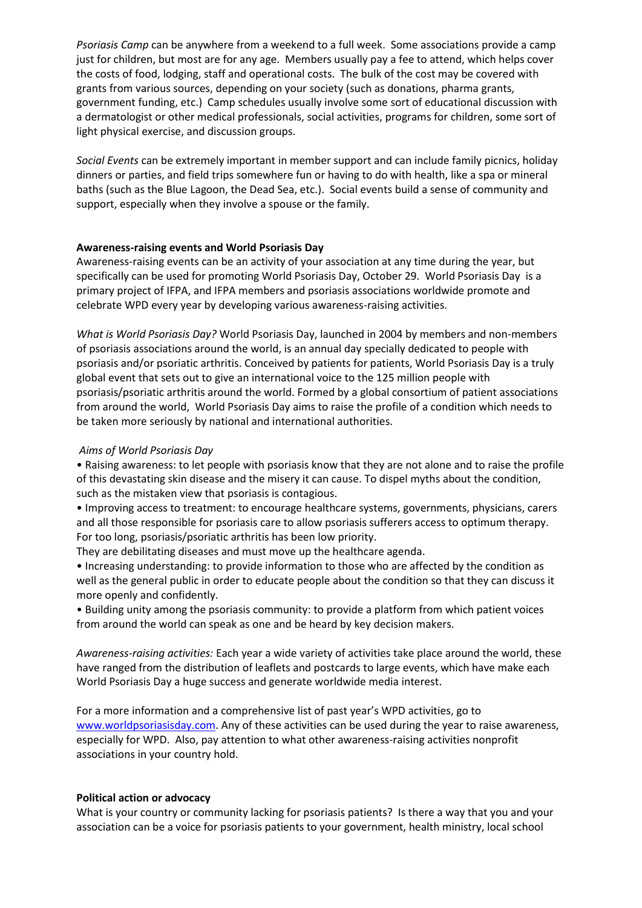*Psoriasis Camp* can be anywhere from a weekend to a full week. Some associations provide a camp just for children, but most are for any age. Members usually pay a fee to attend, which helps cover the costs of food, lodging, staff and operational costs. The bulk of the cost may be covered with grants from various sources, depending on your society (such as donations, pharma grants, government funding, etc.) Camp schedules usually involve some sort of educational discussion with a dermatologist or other medical professionals, social activities, programs for children, some sort of light physical exercise, and discussion groups.

*Social Events* can be extremely important in member support and can include family picnics, holiday dinners or parties, and field trips somewhere fun or having to do with health, like a spa or mineral baths (such as the Blue Lagoon, the Dead Sea, etc.). Social events build a sense of community and support, especially when they involve a spouse or the family.

#### **Awareness-raising events and World Psoriasis Day**

Awareness-raising events can be an activity of your association at any time during the year, but specifically can be used for promoting World Psoriasis Day, October 29. World Psoriasis Day is a primary project of IFPA, and IFPA members and psoriasis associations worldwide promote and celebrate WPD every year by developing various awareness-raising activities.

*What is World Psoriasis Day?* World Psoriasis Day, launched in 2004 by members and non-members of psoriasis associations around the world, is an annual day specially dedicated to people with psoriasis and/or psoriatic arthritis. Conceived by patients for patients, World Psoriasis Day is a truly global event that sets out to give an international voice to the 125 million people with psoriasis/psoriatic arthritis around the world. Formed by a global consortium of patient associations from around the world, World Psoriasis Day aims to raise the profile of a condition which needs to be taken more seriously by national and international authorities.

#### *Aims of World Psoriasis Day*

• Raising awareness: to let people with psoriasis know that they are not alone and to raise the profile of this devastating skin disease and the misery it can cause. To dispel myths about the condition, such as the mistaken view that psoriasis is contagious.

• Improving access to treatment: to encourage healthcare systems, governments, physicians, carers and all those responsible for psoriasis care to allow psoriasis sufferers access to optimum therapy. For too long, psoriasis/psoriatic arthritis has been low priority.

They are debilitating diseases and must move up the healthcare agenda.

• Increasing understanding: to provide information to those who are affected by the condition as well as the general public in order to educate people about the condition so that they can discuss it more openly and confidently.

• Building unity among the psoriasis community: to provide a platform from which patient voices from around the world can speak as one and be heard by key decision makers.

*Awareness-raising activities:* Each year a wide variety of activities take place around the world, these have ranged from the distribution of leaflets and postcards to large events, which have make each World Psoriasis Day a huge success and generate worldwide media interest.

For a more information and a comprehensive list of past year's WPD activities, go to [www.worldpsoriasisday.com.](http://www.worldpsoriasisday.com/) Any of these activities can be used during the year to raise awareness, especially for WPD. Also, pay attention to what other awareness-raising activities nonprofit associations in your country hold.

#### **Political action or advocacy**

What is your country or community lacking for psoriasis patients? Is there a way that you and your association can be a voice for psoriasis patients to your government, health ministry, local school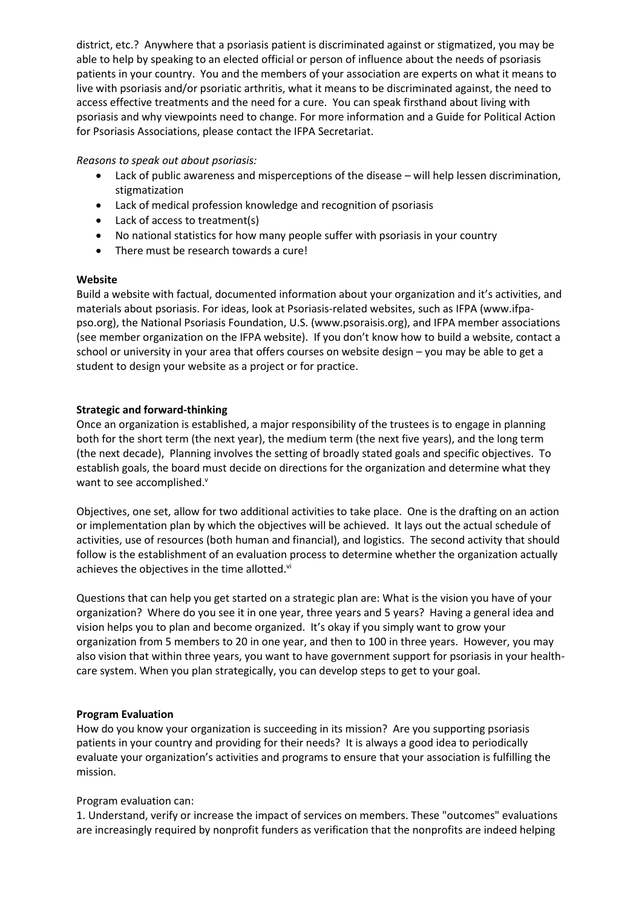district, etc.? Anywhere that a psoriasis patient is discriminated against or stigmatized, you may be able to help by speaking to an elected official or person of influence about the needs of psoriasis patients in your country. You and the members of your association are experts on what it means to live with psoriasis and/or psoriatic arthritis, what it means to be discriminated against, the need to access effective treatments and the need for a cure. You can speak firsthand about living with psoriasis and why viewpoints need to change. For more information and a Guide for Political Action for Psoriasis Associations, please contact the IFPA Secretariat.

#### *Reasons to speak out about psoriasis:*

- Lack of public awareness and misperceptions of the disease will help lessen discrimination, stigmatization
- Lack of medical profession knowledge and recognition of psoriasis
- Lack of access to treatment(s)
- No national statistics for how many people suffer with psoriasis in your country
- There must be research towards a cure!

#### **Website**

Build a website with factual, documented information about your organization and it's activities, and materials about psoriasis. For ideas, look at Psoriasis-related websites, such as IFPA (www.ifpapso.org), the National Psoriasis Foundation, U.S. (www.psoraisis.org), and IFPA member associations (see member organization on the IFPA website). If you don't know how to build a website, contact a school or university in your area that offers courses on website design – you may be able to get a student to design your website as a project or for practice.

## **Strategic and forward-thinking**

Once an organization is established, a major responsibility of the trustees is to engage in planning both for the short term (the next year), the medium term (the next five years), and the long term (the next decade), Planning involves the setting of broadly stated goals and specific objectives. To establish goals, the board must decide on directions for the organization and determine what they want to see accomplished.<sup>v</sup>

Objectives, one set, allow for two additional activities to take place. One is the drafting on an action or implementation plan by which the objectives will be achieved. It lays out the actual schedule of activities, use of resources (both human and financial), and logistics. The second activity that should follow is the establishment of an evaluation process to determine whether the organization actually achieves the objectives in the time allotted. $vi$ 

Questions that can help you get started on a strategic plan are: What is the vision you have of your organization? Where do you see it in one year, three years and 5 years? Having a general idea and vision helps you to plan and become organized. It's okay if you simply want to grow your organization from 5 members to 20 in one year, and then to 100 in three years. However, you may also vision that within three years, you want to have government support for psoriasis in your healthcare system. When you plan strategically, you can develop steps to get to your goal.

## **Program Evaluation**

How do you know your organization is succeeding in its mission? Are you supporting psoriasis patients in your country and providing for their needs? It is always a good idea to periodically evaluate your organization's activities and programs to ensure that your association is fulfilling the mission.

## Program evaluation can:

1. Understand, verify or increase the impact of services on members. These "outcomes" evaluations are increasingly required by nonprofit funders as verification that the nonprofits are indeed helping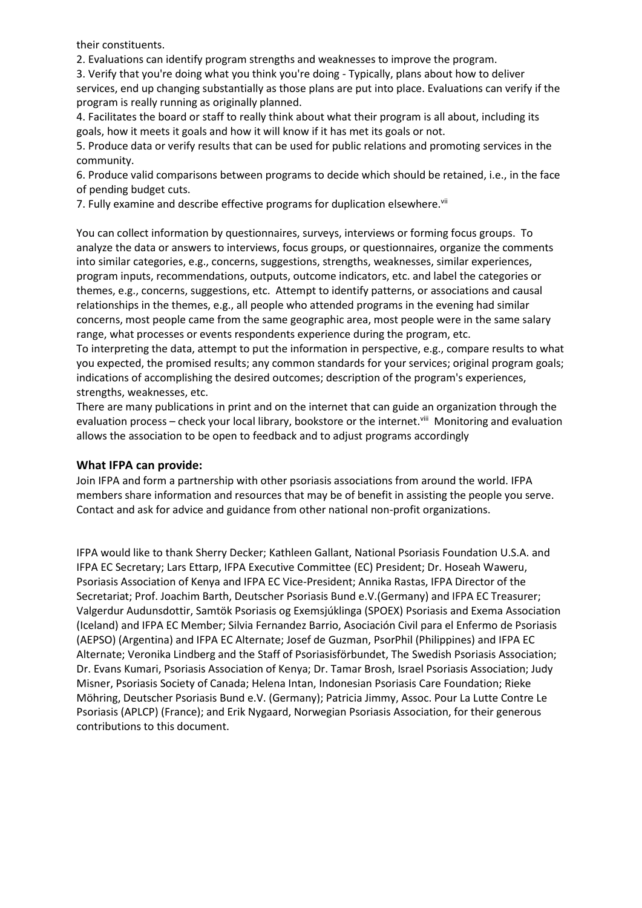their constituents.

2. Evaluations can identify program strengths and weaknesses to improve the program.

3. Verify that you're doing what you think you're doing - Typically, plans about how to deliver services, end up changing substantially as those plans are put into place. Evaluations can verify if the program is really running as originally planned.

4. Facilitates the board or staff to really think about what their program is all about, including its goals, how it meets it goals and how it will know if it has met its goals or not.

5. Produce data or verify results that can be used for public relations and promoting services in the community.

6. Produce valid comparisons between programs to decide which should be retained, i.e., in the face of pending budget cuts.

7. Fully examine and describe effective programs for duplication elsewhere.<sup>vii</sup>

You can collect information by questionnaires, surveys, interviews or forming focus groups. To analyze the data or answers to interviews, focus groups, or questionnaires, organize the comments into similar categories, e.g., concerns, suggestions, strengths, weaknesses, similar experiences, program inputs, recommendations, outputs, outcome indicators, etc. and label the categories or themes, e.g., concerns, suggestions, etc. Attempt to identify patterns, or associations and causal relationships in the themes, e.g., all people who attended programs in the evening had similar concerns, most people came from the same geographic area, most people were in the same salary range, what processes or events respondents experience during the program, etc.

To interpreting the data, attempt to put the information in perspective, e.g., compare results to what you expected, the promised results; any common standards for your services; original program goals; indications of accomplishing the desired outcomes; description of the program's experiences, strengths, weaknesses, etc.

There are many publications in print and on the internet that can guide an organization through the evaluation process – check your local library, bookstore or the internet.<sup>viii</sup> Monitoring and evaluation allows the association to be open to feedback and to adjust programs accordingly

#### **What IFPA can provide:**

Join IFPA and form a partnership with other psoriasis associations from around the world. IFPA members share information and resources that may be of benefit in assisting the people you serve. Contact and ask for advice and guidance from other national non-profit organizations.

IFPA would like to thank Sherry Decker; Kathleen Gallant, National Psoriasis Foundation U.S.A. and IFPA EC Secretary; Lars Ettarp, IFPA Executive Committee (EC) President; Dr. Hoseah Waweru, Psoriasis Association of Kenya and IFPA EC Vice-President; Annika Rastas, IFPA Director of the Secretariat; Prof. Joachim Barth, Deutscher Psoriasis Bund e.V.(Germany) and IFPA EC Treasurer; Valgerdur Audunsdottir, Samtök Psoriasis og Exemsjúklinga (SPOEX) Psoriasis and Exema Association (Iceland) and IFPA EC Member; Silvia Fernandez Barrio, Asociación Civil para el Enfermo de Psoriasis (AEPSO) (Argentina) and IFPA EC Alternate; Josef de Guzman, PsorPhil (Philippines) and IFPA EC Alternate; Veronika Lindberg and the Staff of Psoriasisförbundet, The Swedish Psoriasis Association; Dr. Evans Kumari, Psoriasis Association of Kenya; Dr. Tamar Brosh, Israel Psoriasis Association; Judy Misner, Psoriasis Society of Canada; Helena Intan, Indonesian Psoriasis Care Foundation; Rieke Möhring, Deutscher Psoriasis Bund e.V. (Germany); Patricia Jimmy, Assoc. Pour La Lutte Contre Le Psoriasis (APLCP) (France); and Erik Nygaard, Norwegian Psoriasis Association, for their generous contributions to this document.